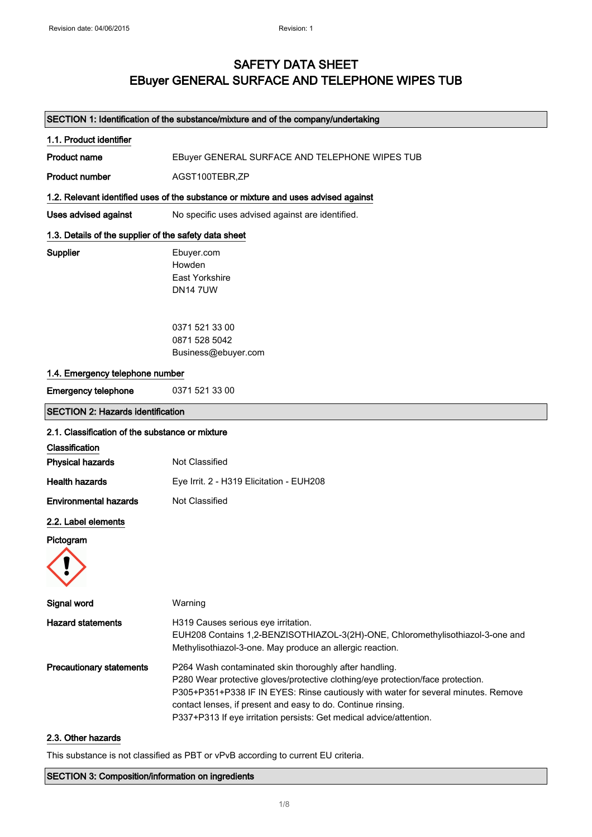## SAFETY DATA SHEET EBuyer GENERAL SURFACE AND TELEPHONE WIPES TUB

## SECTION 1: Identification of the substance/mixture and of the company/undertaking

| 1.1. Product identifier                               |                                                                                                                                                                                                                                                                                                                                                                        |
|-------------------------------------------------------|------------------------------------------------------------------------------------------------------------------------------------------------------------------------------------------------------------------------------------------------------------------------------------------------------------------------------------------------------------------------|
| <b>Product name</b>                                   | EBuyer GENERAL SURFACE AND TELEPHONE WIPES TUB                                                                                                                                                                                                                                                                                                                         |
| <b>Product number</b>                                 | AGST100TEBR,ZP                                                                                                                                                                                                                                                                                                                                                         |
|                                                       | 1.2. Relevant identified uses of the substance or mixture and uses advised against                                                                                                                                                                                                                                                                                     |
| <b>Uses advised against</b>                           | No specific uses advised against are identified.                                                                                                                                                                                                                                                                                                                       |
| 1.3. Details of the supplier of the safety data sheet |                                                                                                                                                                                                                                                                                                                                                                        |
| Supplier                                              | Ebuyer.com<br>Howden<br>East Yorkshire<br><b>DN147UW</b>                                                                                                                                                                                                                                                                                                               |
|                                                       | 0371 521 33 00<br>0871 528 5042<br>Business@ebuyer.com                                                                                                                                                                                                                                                                                                                 |
| 1.4. Emergency telephone number                       |                                                                                                                                                                                                                                                                                                                                                                        |
| <b>Emergency telephone</b>                            | 0371 521 33 00                                                                                                                                                                                                                                                                                                                                                         |
| <b>SECTION 2: Hazards identification</b>              |                                                                                                                                                                                                                                                                                                                                                                        |
| 2.1. Classification of the substance or mixture       |                                                                                                                                                                                                                                                                                                                                                                        |
| Classification                                        |                                                                                                                                                                                                                                                                                                                                                                        |
| <b>Physical hazards</b>                               | Not Classified                                                                                                                                                                                                                                                                                                                                                         |
| <b>Health hazards</b>                                 | Eye Irrit. 2 - H319 Elicitation - EUH208                                                                                                                                                                                                                                                                                                                               |
| <b>Environmental hazards</b>                          | Not Classified                                                                                                                                                                                                                                                                                                                                                         |
| 2.2. Label elements                                   |                                                                                                                                                                                                                                                                                                                                                                        |
| Pictogram                                             |                                                                                                                                                                                                                                                                                                                                                                        |
| Signal word                                           | Warning                                                                                                                                                                                                                                                                                                                                                                |
| <b>Hazard statements</b>                              | H319 Causes serious eye irritation.<br>EUH208 Contains 1,2-BENZISOTHIAZOL-3(2H)-ONE, Chloromethylisothiazol-3-one and<br>Methylisothiazol-3-one. May produce an allergic reaction.                                                                                                                                                                                     |
| <b>Precautionary statements</b>                       | P264 Wash contaminated skin thoroughly after handling.<br>P280 Wear protective gloves/protective clothing/eye protection/face protection.<br>P305+P351+P338 IF IN EYES: Rinse cautiously with water for several minutes. Remove<br>contact lenses, if present and easy to do. Continue rinsing.<br>P337+P313 If eye irritation persists: Get medical advice/attention. |

## 2.3. Other hazards

This substance is not classified as PBT or vPvB according to current EU criteria.

### SECTION 3: Composition/information on ingredients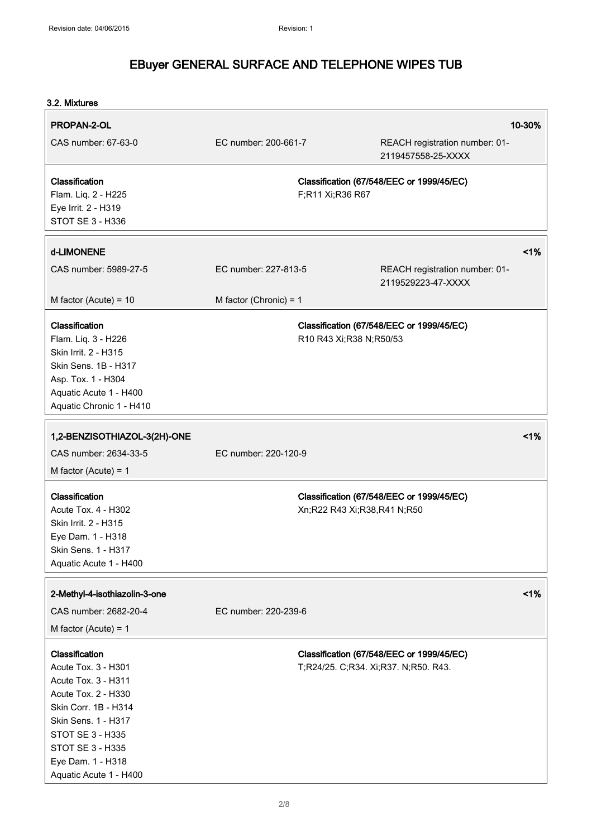| 3.2. Mixtures                                                                                                                                                                                                             |                          |                             |                                                                                   |        |
|---------------------------------------------------------------------------------------------------------------------------------------------------------------------------------------------------------------------------|--------------------------|-----------------------------|-----------------------------------------------------------------------------------|--------|
| PROPAN-2-OL<br>CAS number: 67-63-0                                                                                                                                                                                        | EC number: 200-661-7     |                             | REACH registration number: 01-<br>2119457558-25-XXXX                              | 10-30% |
| Classification<br>Flam. Liq. 2 - H225<br>Eye Irrit. 2 - H319<br>STOT SE 3 - H336                                                                                                                                          |                          | F;R11 Xi;R36 R67            | Classification (67/548/EEC or 1999/45/EC)                                         |        |
| d-LIMONENE                                                                                                                                                                                                                |                          |                             |                                                                                   | 1%     |
| CAS number: 5989-27-5                                                                                                                                                                                                     | EC number: 227-813-5     |                             | REACH registration number: 01-<br>2119529223-47-XXXX                              |        |
| M factor (Acute) = $10$                                                                                                                                                                                                   | M factor (Chronic) = $1$ |                             |                                                                                   |        |
| Classification<br>Flam. Liq. 3 - H226<br>Skin Irrit. 2 - H315<br>Skin Sens. 1B - H317<br>Asp. Tox. 1 - H304<br>Aquatic Acute 1 - H400<br>Aquatic Chronic 1 - H410                                                         |                          | R10 R43 Xi; R38 N; R50/53   | Classification (67/548/EEC or 1999/45/EC)                                         |        |
| 1,2-BENZISOTHIAZOL-3(2H)-ONE                                                                                                                                                                                              |                          |                             |                                                                                   | 1%     |
| CAS number: 2634-33-5<br>M factor (Acute) = $1$                                                                                                                                                                           | EC number: 220-120-9     |                             |                                                                                   |        |
| Classification<br><b>Acute Tox. 4 - H302</b><br>Skin Irrit. 2 - H315<br>Eye Dam. 1 - H318<br>Skin Sens. 1 - H317<br>Aquatic Acute 1 - H400                                                                                |                          | Xn;R22 R43 Xi;R38,R41 N;R50 | Classification (67/548/EEC or 1999/45/EC)                                         |        |
| 2-Methyl-4-isothiazolin-3-one                                                                                                                                                                                             |                          |                             |                                                                                   | 1%     |
| CAS number: 2682-20-4<br>M factor (Acute) = $1$                                                                                                                                                                           | EC number: 220-239-6     |                             |                                                                                   |        |
| Classification<br>Acute Tox. 3 - H301<br>Acute Tox. 3 - H311<br>Acute Tox. 2 - H330<br>Skin Corr. 1B - H314<br>Skin Sens. 1 - H317<br>STOT SE 3 - H335<br>STOT SE 3 - H335<br>Eye Dam. 1 - H318<br>Aquatic Acute 1 - H400 |                          |                             | Classification (67/548/EEC or 1999/45/EC)<br>T;R24/25. C;R34. Xi;R37. N;R50. R43. |        |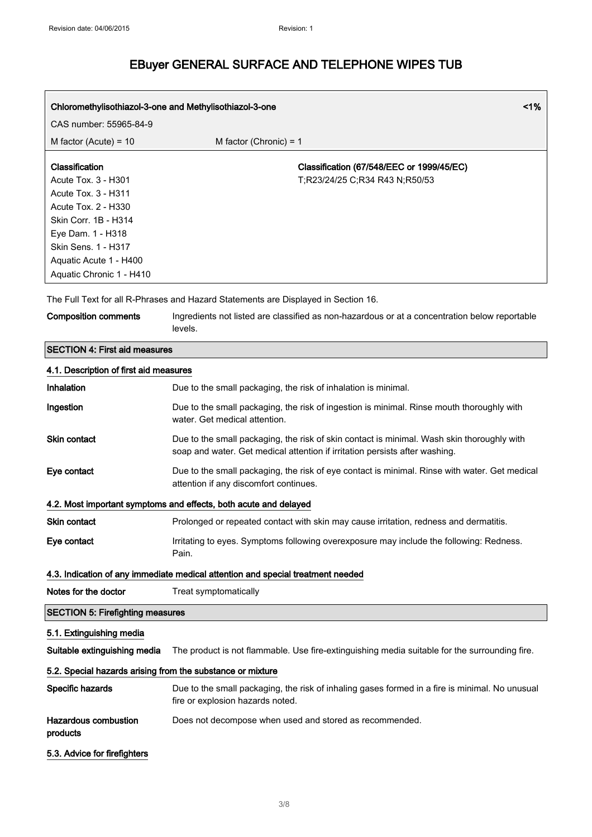| Chloromethylisothiazol-3-one and Methylisothiazol-3-one |                                           | $1\%$ |
|---------------------------------------------------------|-------------------------------------------|-------|
| CAS number: 55965-84-9                                  |                                           |       |
| M factor (Acute) = $10$                                 | M factor (Chronic) = $1$                  |       |
| <b>Classification</b>                                   | Classification (67/548/EEC or 1999/45/EC) |       |
| Acute Tox. 3 - H301                                     | T:R23/24/25 C:R34 R43 N:R50/53            |       |
| Acute Tox. 3 - H311                                     |                                           |       |
| Acute Tox. 2 - H330                                     |                                           |       |
| Skin Corr. 1B - H314                                    |                                           |       |
| Eye Dam. 1 - H318                                       |                                           |       |
| Skin Sens. 1 - H317                                     |                                           |       |
| Aquatic Acute 1 - H400                                  |                                           |       |
| Aquatic Chronic 1 - H410                                |                                           |       |

The Full Text for all R-Phrases and Hazard Statements are Displayed in Section 16.

Composition comments Ingredients not listed are classified as non-hazardous or at a concentration below reportable levels.

## SECTION 4: First aid measures

| 4.1. Description of first aid measures                                          |                                                                                                                                                                           |  |  |
|---------------------------------------------------------------------------------|---------------------------------------------------------------------------------------------------------------------------------------------------------------------------|--|--|
| Inhalation                                                                      | Due to the small packaging, the risk of inhalation is minimal.                                                                                                            |  |  |
| Ingestion                                                                       | Due to the small packaging, the risk of ingestion is minimal. Rinse mouth thoroughly with<br>water. Get medical attention.                                                |  |  |
| Skin contact                                                                    | Due to the small packaging, the risk of skin contact is minimal. Wash skin thoroughly with<br>soap and water. Get medical attention if irritation persists after washing. |  |  |
| Eye contact                                                                     | Due to the small packaging, the risk of eye contact is minimal. Rinse with water. Get medical<br>attention if any discomfort continues.                                   |  |  |
|                                                                                 | 4.2. Most important symptoms and effects, both acute and delayed                                                                                                          |  |  |
| <b>Skin contact</b>                                                             | Prolonged or repeated contact with skin may cause irritation, redness and dermatitis.                                                                                     |  |  |
| Eye contact                                                                     | Irritating to eyes. Symptoms following overexposure may include the following: Redness.<br>Pain.                                                                          |  |  |
| 4.3. Indication of any immediate medical attention and special treatment needed |                                                                                                                                                                           |  |  |
| Notes for the doctor                                                            | Treat symptomatically                                                                                                                                                     |  |  |
| <b>SECTION 5: Firefighting measures</b>                                         |                                                                                                                                                                           |  |  |
| 5.1. Extinguishing media                                                        |                                                                                                                                                                           |  |  |
| Suitable extinguishing media                                                    | The product is not flammable. Use fire-extinguishing media suitable for the surrounding fire.                                                                             |  |  |
| 5.2. Special hazards arising from the substance or mixture                      |                                                                                                                                                                           |  |  |
| Specific hazards                                                                | Due to the small packaging, the risk of inhaling gases formed in a fire is minimal. No unusual<br>fire or explosion hazards noted.                                        |  |  |
| Hazardous combustion<br>products                                                | Does not decompose when used and stored as recommended.                                                                                                                   |  |  |
| 5.3. Advice for firefighters                                                    |                                                                                                                                                                           |  |  |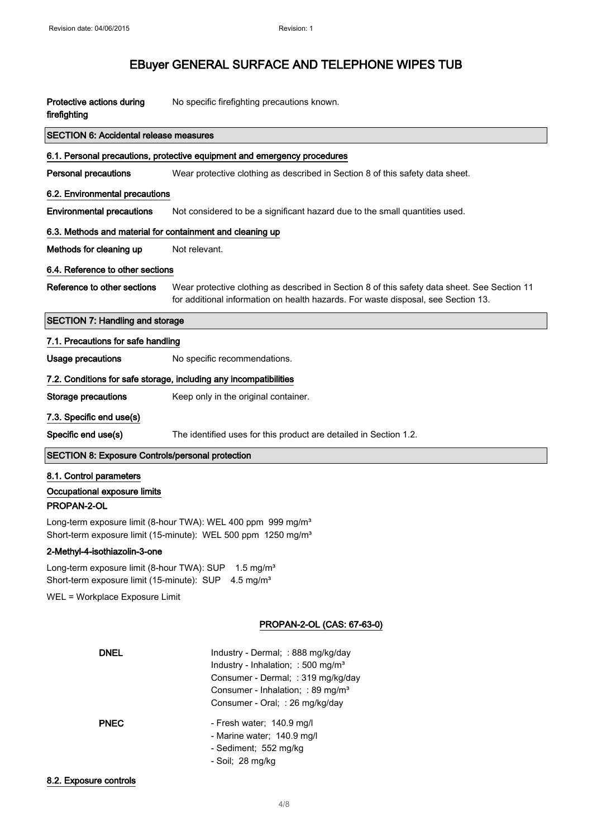| Protective actions during<br>firefighting                                                                                                             | No specific firefighting precautions known.                                                                                                                                                                    |  |
|-------------------------------------------------------------------------------------------------------------------------------------------------------|----------------------------------------------------------------------------------------------------------------------------------------------------------------------------------------------------------------|--|
| <b>SECTION 6: Accidental release measures</b>                                                                                                         |                                                                                                                                                                                                                |  |
|                                                                                                                                                       | 6.1. Personal precautions, protective equipment and emergency procedures                                                                                                                                       |  |
| <b>Personal precautions</b>                                                                                                                           | Wear protective clothing as described in Section 8 of this safety data sheet.                                                                                                                                  |  |
| 6.2. Environmental precautions                                                                                                                        |                                                                                                                                                                                                                |  |
| <b>Environmental precautions</b>                                                                                                                      | Not considered to be a significant hazard due to the small quantities used.                                                                                                                                    |  |
| 6.3. Methods and material for containment and cleaning up                                                                                             |                                                                                                                                                                                                                |  |
| Methods for cleaning up                                                                                                                               | Not relevant.                                                                                                                                                                                                  |  |
| 6.4. Reference to other sections                                                                                                                      |                                                                                                                                                                                                                |  |
| Reference to other sections                                                                                                                           | Wear protective clothing as described in Section 8 of this safety data sheet. See Section 11<br>for additional information on health hazards. For waste disposal, see Section 13.                              |  |
| <b>SECTION 7: Handling and storage</b>                                                                                                                |                                                                                                                                                                                                                |  |
| 7.1. Precautions for safe handling                                                                                                                    |                                                                                                                                                                                                                |  |
| <b>Usage precautions</b>                                                                                                                              | No specific recommendations.                                                                                                                                                                                   |  |
|                                                                                                                                                       | 7.2. Conditions for safe storage, including any incompatibilities                                                                                                                                              |  |
| Storage precautions                                                                                                                                   | Keep only in the original container.                                                                                                                                                                           |  |
| 7.3. Specific end use(s)                                                                                                                              |                                                                                                                                                                                                                |  |
| Specific end use(s)                                                                                                                                   | The identified uses for this product are detailed in Section 1.2.                                                                                                                                              |  |
| <b>SECTION 8: Exposure Controls/personal protection</b>                                                                                               |                                                                                                                                                                                                                |  |
| 8.1. Control parameters                                                                                                                               |                                                                                                                                                                                                                |  |
| Occupational exposure limits<br>PROPAN-2-OL                                                                                                           |                                                                                                                                                                                                                |  |
|                                                                                                                                                       |                                                                                                                                                                                                                |  |
| Long-term exposure limit (8-hour TWA): WEL 400 ppm 999 mg/m <sup>3</sup><br>Short-term exposure limit (15-minute): WEL 500 ppm 1250 mg/m <sup>3</sup> |                                                                                                                                                                                                                |  |
| 2-Methyl-4-isothiazolin-3-one                                                                                                                         |                                                                                                                                                                                                                |  |
| Long-term exposure limit (8-hour TWA): SUP<br>Short-term exposure limit (15-minute): SUP                                                              | 1.5 mg/ $m3$<br>4.5 mg/m <sup>3</sup>                                                                                                                                                                          |  |
| WEL = Workplace Exposure Limit                                                                                                                        |                                                                                                                                                                                                                |  |
|                                                                                                                                                       | PROPAN-2-OL (CAS: 67-63-0)                                                                                                                                                                                     |  |
| <b>DNEL</b>                                                                                                                                           | Industry - Dermal; : 888 mg/kg/day<br>Industry - Inhalation; : 500 mg/m <sup>3</sup><br>Consumer - Dermal; : 319 mg/kg/day<br>Consumer - Inhalation; : 89 mg/m <sup>3</sup><br>Consumer - Oral; : 26 mg/kg/day |  |
| <b>PNEC</b>                                                                                                                                           | - Fresh water; 140.9 mg/l<br>- Marine water; 140.9 mg/l<br>- Sediment; 552 mg/kg<br>- Soil; 28 mg/kg                                                                                                           |  |
| 8.2. Exposure controls                                                                                                                                |                                                                                                                                                                                                                |  |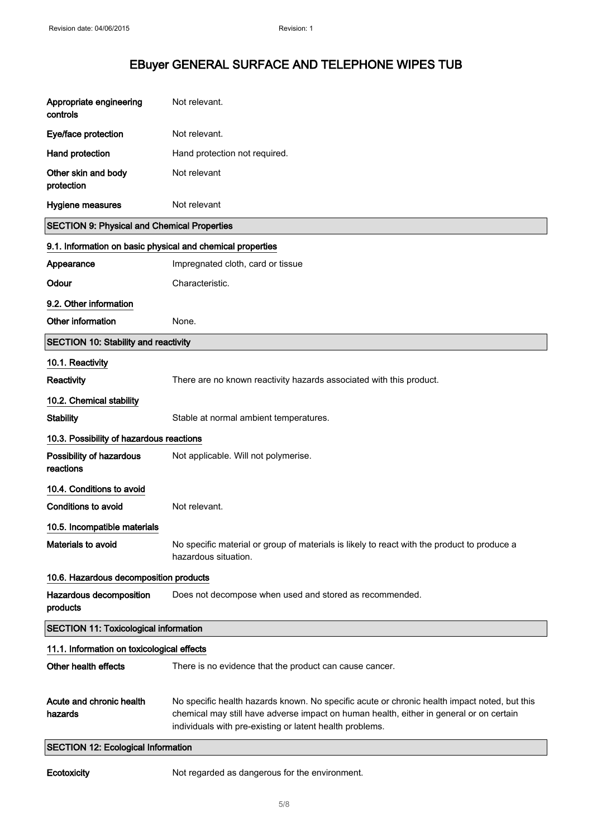| Appropriate engineering<br>controls                        | Not relevant.                                                                                                                                                                                                                                       |
|------------------------------------------------------------|-----------------------------------------------------------------------------------------------------------------------------------------------------------------------------------------------------------------------------------------------------|
| Eye/face protection                                        | Not relevant.                                                                                                                                                                                                                                       |
| Hand protection                                            | Hand protection not required.                                                                                                                                                                                                                       |
| Other skin and body<br>protection                          | Not relevant                                                                                                                                                                                                                                        |
| <b>Hygiene measures</b>                                    | Not relevant                                                                                                                                                                                                                                        |
| <b>SECTION 9: Physical and Chemical Properties</b>         |                                                                                                                                                                                                                                                     |
| 9.1. Information on basic physical and chemical properties |                                                                                                                                                                                                                                                     |
| Appearance                                                 | Impregnated cloth, card or tissue                                                                                                                                                                                                                   |
| Odour                                                      | Characteristic.                                                                                                                                                                                                                                     |
| 9.2. Other information                                     |                                                                                                                                                                                                                                                     |
| Other information                                          | None.                                                                                                                                                                                                                                               |
| <b>SECTION 10: Stability and reactivity</b>                |                                                                                                                                                                                                                                                     |
| 10.1. Reactivity                                           |                                                                                                                                                                                                                                                     |
| Reactivity                                                 | There are no known reactivity hazards associated with this product.                                                                                                                                                                                 |
| 10.2. Chemical stability                                   |                                                                                                                                                                                                                                                     |
| <b>Stability</b>                                           | Stable at normal ambient temperatures.                                                                                                                                                                                                              |
| 10.3. Possibility of hazardous reactions                   |                                                                                                                                                                                                                                                     |
| Possibility of hazardous<br>reactions                      | Not applicable. Will not polymerise.                                                                                                                                                                                                                |
| 10.4. Conditions to avoid                                  |                                                                                                                                                                                                                                                     |
| Conditions to avoid                                        | Not relevant.                                                                                                                                                                                                                                       |
| 10.5. Incompatible materials                               |                                                                                                                                                                                                                                                     |
| Materials to avoid                                         | No specific material or group of materials is likely to react with the product to produce a<br>hazardous situation.                                                                                                                                 |
| 10.6. Hazardous decomposition products                     |                                                                                                                                                                                                                                                     |
| Hazardous decomposition<br>products                        | Does not decompose when used and stored as recommended.                                                                                                                                                                                             |
| <b>SECTION 11: Toxicological information</b>               |                                                                                                                                                                                                                                                     |
| 11.1. Information on toxicological effects                 |                                                                                                                                                                                                                                                     |
| Other health effects                                       | There is no evidence that the product can cause cancer.                                                                                                                                                                                             |
| Acute and chronic health<br>hazards                        | No specific health hazards known. No specific acute or chronic health impact noted, but this<br>chemical may still have adverse impact on human health, either in general or on certain<br>individuals with pre-existing or latent health problems. |
| <b>SECTION 12: Ecological Information</b>                  |                                                                                                                                                                                                                                                     |

Ecotoxicity Mot regarded as dangerous for the environment.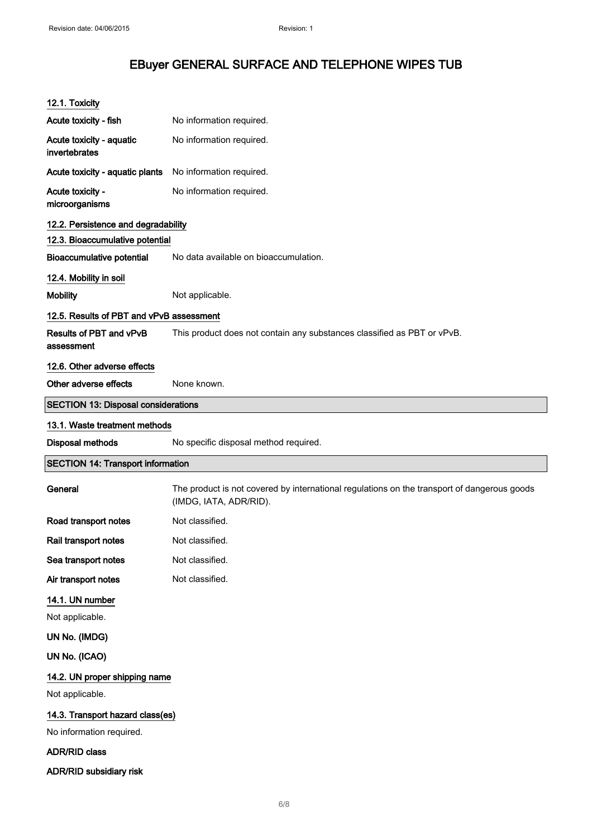| 12.1. Toxicity                                   |                                                                                                                       |
|--------------------------------------------------|-----------------------------------------------------------------------------------------------------------------------|
| Acute toxicity - fish                            | No information required.                                                                                              |
| Acute toxicity - aquatic<br>invertebrates        | No information required.                                                                                              |
| Acute toxicity - aquatic plants                  | No information required.                                                                                              |
| Acute toxicity -<br>microorganisms               | No information required.                                                                                              |
| 12.2. Persistence and degradability              |                                                                                                                       |
| 12.3. Bioaccumulative potential                  |                                                                                                                       |
| <b>Bioaccumulative potential</b>                 | No data available on bioaccumulation.                                                                                 |
| 12.4. Mobility in soil                           |                                                                                                                       |
| <b>Mobility</b>                                  | Not applicable.                                                                                                       |
| 12.5. Results of PBT and vPvB assessment         |                                                                                                                       |
| Results of PBT and vPvB<br>assessment            | This product does not contain any substances classified as PBT or vPvB.                                               |
| 12.6. Other adverse effects                      |                                                                                                                       |
| Other adverse effects                            | None known.                                                                                                           |
| <b>SECTION 13: Disposal considerations</b>       |                                                                                                                       |
| 13.1. Waste treatment methods                    |                                                                                                                       |
|                                                  |                                                                                                                       |
| <b>Disposal methods</b>                          | No specific disposal method required.                                                                                 |
| <b>SECTION 14: Transport information</b>         |                                                                                                                       |
| General                                          | The product is not covered by international regulations on the transport of dangerous goods<br>(IMDG, IATA, ADR/RID). |
| Road transport notes                             | Not classified.                                                                                                       |
| Rail transport notes                             | Not classified.                                                                                                       |
| Sea transport notes                              | Not classified.                                                                                                       |
| Air transport notes                              | Not classified.                                                                                                       |
| 14.1. UN number                                  |                                                                                                                       |
| Not applicable.                                  |                                                                                                                       |
| UN No. (IMDG)                                    |                                                                                                                       |
| UN No. (ICAO)                                    |                                                                                                                       |
| 14.2. UN proper shipping name<br>Not applicable. |                                                                                                                       |
| 14.3. Transport hazard class(es)                 |                                                                                                                       |
| No information required.                         |                                                                                                                       |
| <b>ADR/RID class</b>                             |                                                                                                                       |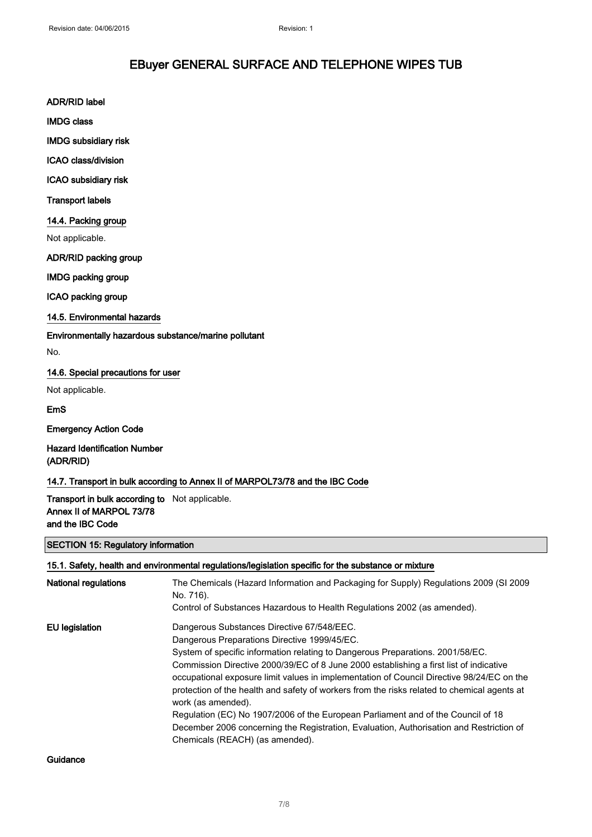ADR/RID label

IMDG class

IMDG subsidiary risk

ICAO class/division

ICAO subsidiary risk

Transport labels

### 14.4. Packing group

Not applicable.

ADR/RID packing group

IMDG packing group

ICAO packing group

## 14.5. Environmental hazards

Environmentally hazardous substance/marine pollutant

No.

## 14.6. Special precautions for user

Not applicable.

EmS

Emergency Action Code

Hazard Identification Number (ADR/RID)

14.7. Transport in bulk according to Annex II of MARPOL73/78 and the IBC Code

Transport in bulk according to Not applicable. Annex II of MARPOL 73/78 and the IBC Code

### SECTION 15: Regulatory information

15.1. Safety, health and environmental regulations/legislation specific for the substance or mixture

| <b>National regulations</b> | The Chemicals (Hazard Information and Packaging for Supply) Regulations 2009 (SI 2009<br>No. 716).<br>Control of Substances Hazardous to Health Regulations 2002 (as amended).                                                                                                                                                                                                                                                                                                                                                                                                                                                                                                                             |
|-----------------------------|------------------------------------------------------------------------------------------------------------------------------------------------------------------------------------------------------------------------------------------------------------------------------------------------------------------------------------------------------------------------------------------------------------------------------------------------------------------------------------------------------------------------------------------------------------------------------------------------------------------------------------------------------------------------------------------------------------|
| EU legislation              | Dangerous Substances Directive 67/548/EEC.<br>Dangerous Preparations Directive 1999/45/EC.<br>System of specific information relating to Dangerous Preparations. 2001/58/EC.<br>Commission Directive 2000/39/EC of 8 June 2000 establishing a first list of indicative<br>occupational exposure limit values in implementation of Council Directive 98/24/EC on the<br>protection of the health and safety of workers from the risks related to chemical agents at<br>work (as amended).<br>Regulation (EC) No 1907/2006 of the European Parliament and of the Council of 18<br>December 2006 concerning the Registration, Evaluation, Authorisation and Restriction of<br>Chemicals (REACH) (as amended). |

Guidance